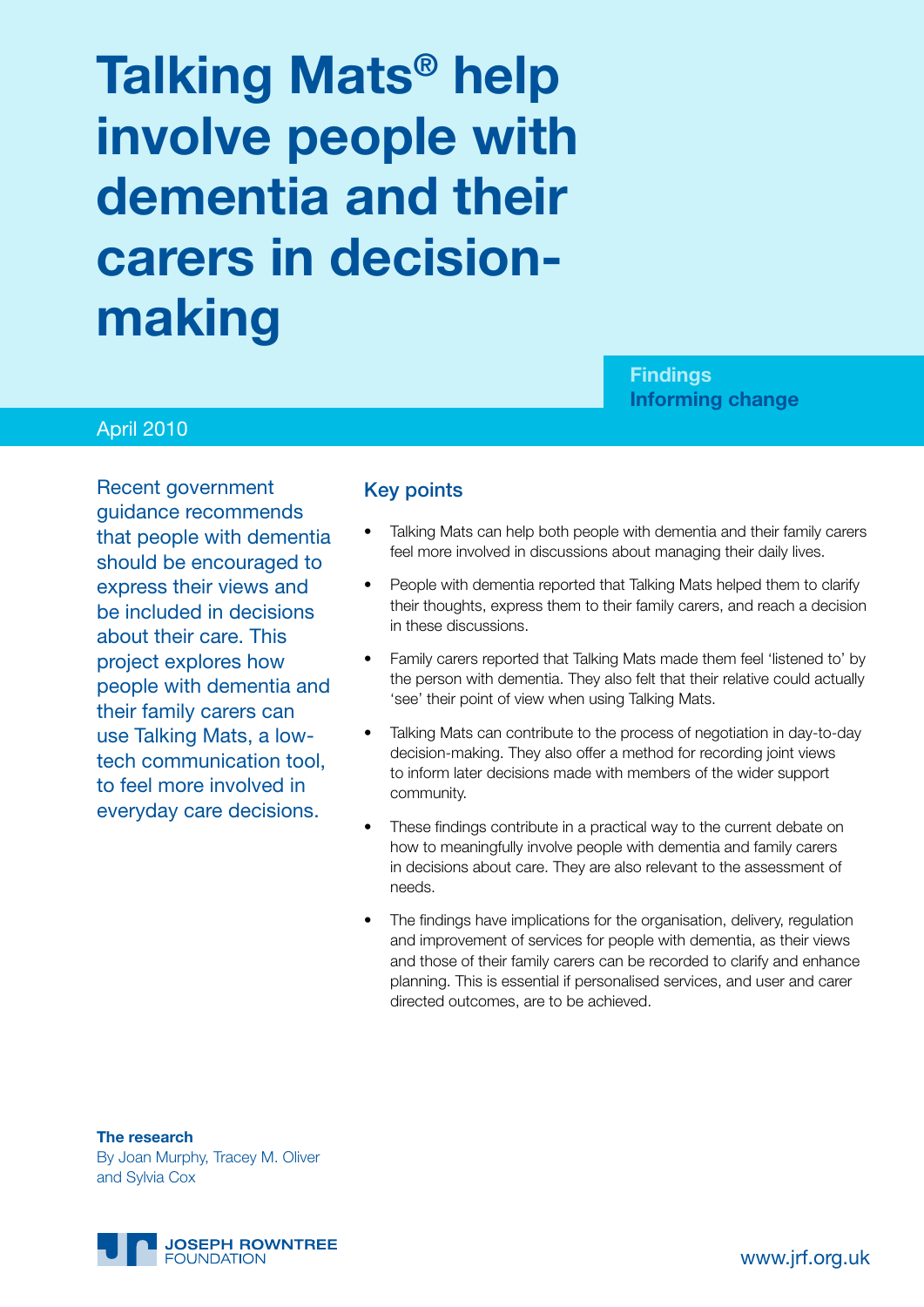# **Talking Mats® help involve people with dementia and their carers in decisionmaking**

**Findings Informing change**

#### April 2010

Recent government guidance recommends that people with dementia should be encouraged to express their views and be included in decisions about their care. This project explores how people with dementia and their family carers can use Talking Mats, a lowtech communication tool, to feel more involved in everyday care decisions.

#### Key points

- Talking Mats can help both people with dementia and their family carers feel more involved in discussions about managing their daily lives.
- People with dementia reported that Talking Mats helped them to clarify their thoughts, express them to their family carers, and reach a decision in these discussions.
- Family carers reported that Talking Mats made them feel 'listened to' by the person with dementia. They also felt that their relative could actually 'see' their point of view when using Talking Mats.
- Talking Mats can contribute to the process of negotiation in day-to-day decision-making. They also offer a method for recording joint views to inform later decisions made with members of the wider support community.
- These findings contribute in a practical way to the current debate on how to meaningfully involve people with dementia and family carers in decisions about care. They are also relevant to the assessment of needs.
- The findings have implications for the organisation, delivery, regulation and improvement of services for people with dementia, as their views and those of their family carers can be recorded to clarify and enhance planning. This is essential if personalised services, and user and carer directed outcomes, are to be achieved.

**The research** By Joan Murphy, Tracey M. Oliver and Sylvia Cox

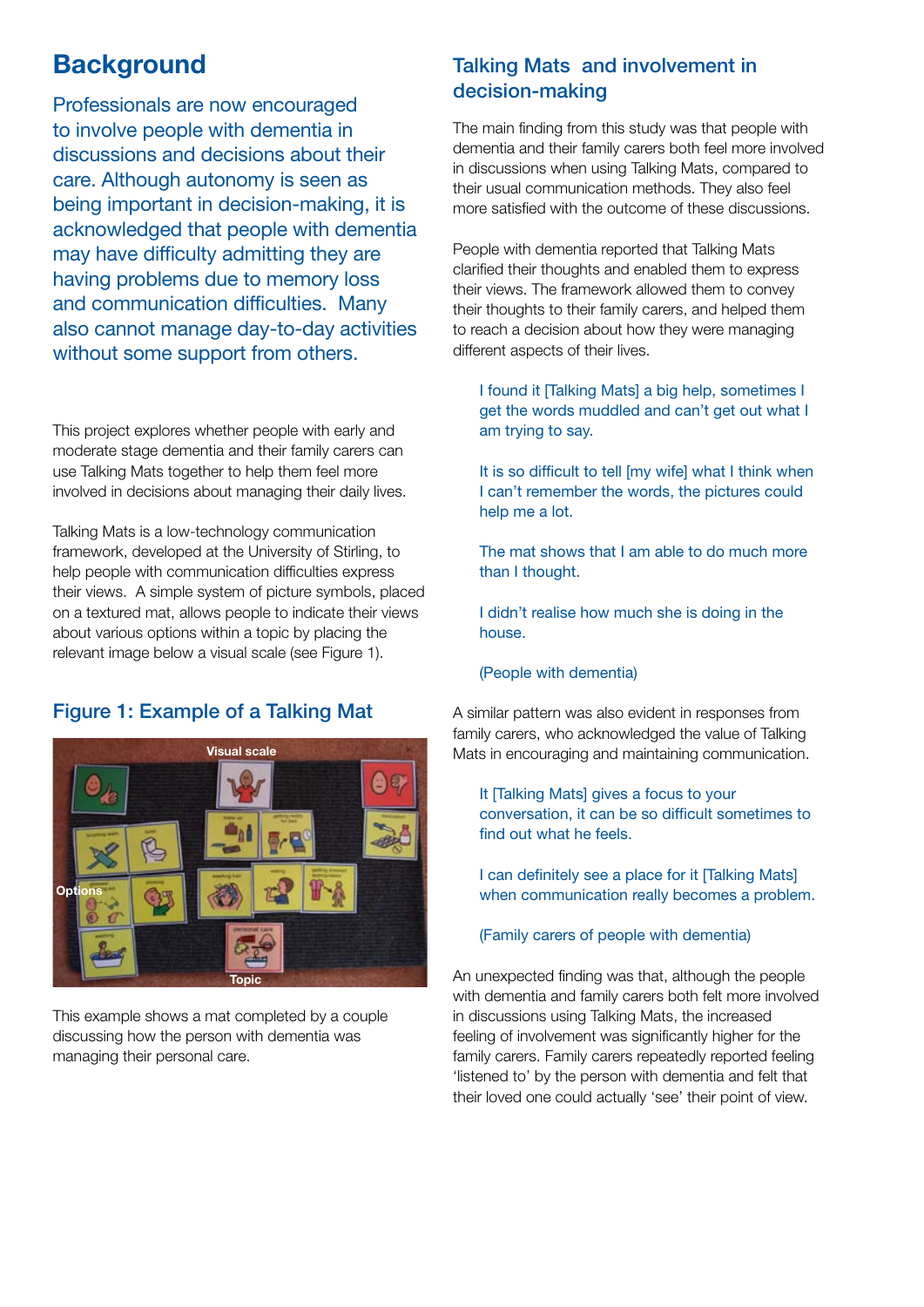## **Background**

Professionals are now encouraged to involve people with dementia in discussions and decisions about their care. Although autonomy is seen as being important in decision-making, it is acknowledged that people with dementia may have difficulty admitting they are having problems due to memory loss and communication difficulties. Many also cannot manage day-to-day activities without some support from others.

This project explores whether people with early and moderate stage dementia and their family carers can use Talking Mats together to help them feel more involved in decisions about managing their daily lives.

Talking Mats is a low-technology communication framework, developed at the University of Stirling, to help people with communication difficulties express their views. A simple system of picture symbols, placed on a textured mat, allows people to indicate their views about various options within a topic by placing the relevant image below a visual scale (see Figure 1).

## Figure 1: Example of a Talking Mat



This example shows a mat completed by a couple discussing how the person with dementia was managing their personal care.

## Talking Mats and involvement in decision-making

The main finding from this study was that people with dementia and their family carers both feel more involved in discussions when using Talking Mats, compared to their usual communication methods. They also feel more satisfied with the outcome of these discussions.

People with dementia reported that Talking Mats clarified their thoughts and enabled them to express their views. The framework allowed them to convey their thoughts to their family carers, and helped them to reach a decision about how they were managing different aspects of their lives.

I found it [Talking Mats] a big help, sometimes I get the words muddled and can't get out what I am trying to say.

It is so difficult to tell [my wife] what I think when I can't remember the words, the pictures could help me a lot.

The mat shows that I am able to do much more than I thought.

I didn't realise how much she is doing in the house.

#### (People with dementia)

A similar pattern was also evident in responses from family carers, who acknowledged the value of Talking Mats in encouraging and maintaining communication.

It [Talking Mats] gives a focus to your conversation, it can be so difficult sometimes to find out what he feels.

I can definitely see a place for it [Talking Mats] when communication really becomes a problem.

#### (Family carers of people with dementia)

An unexpected finding was that, although the people with dementia and family carers both felt more involved in discussions using Talking Mats, the increased feeling of involvement was significantly higher for the family carers. Family carers repeatedly reported feeling 'listened to' by the person with dementia and felt that their loved one could actually 'see' their point of view.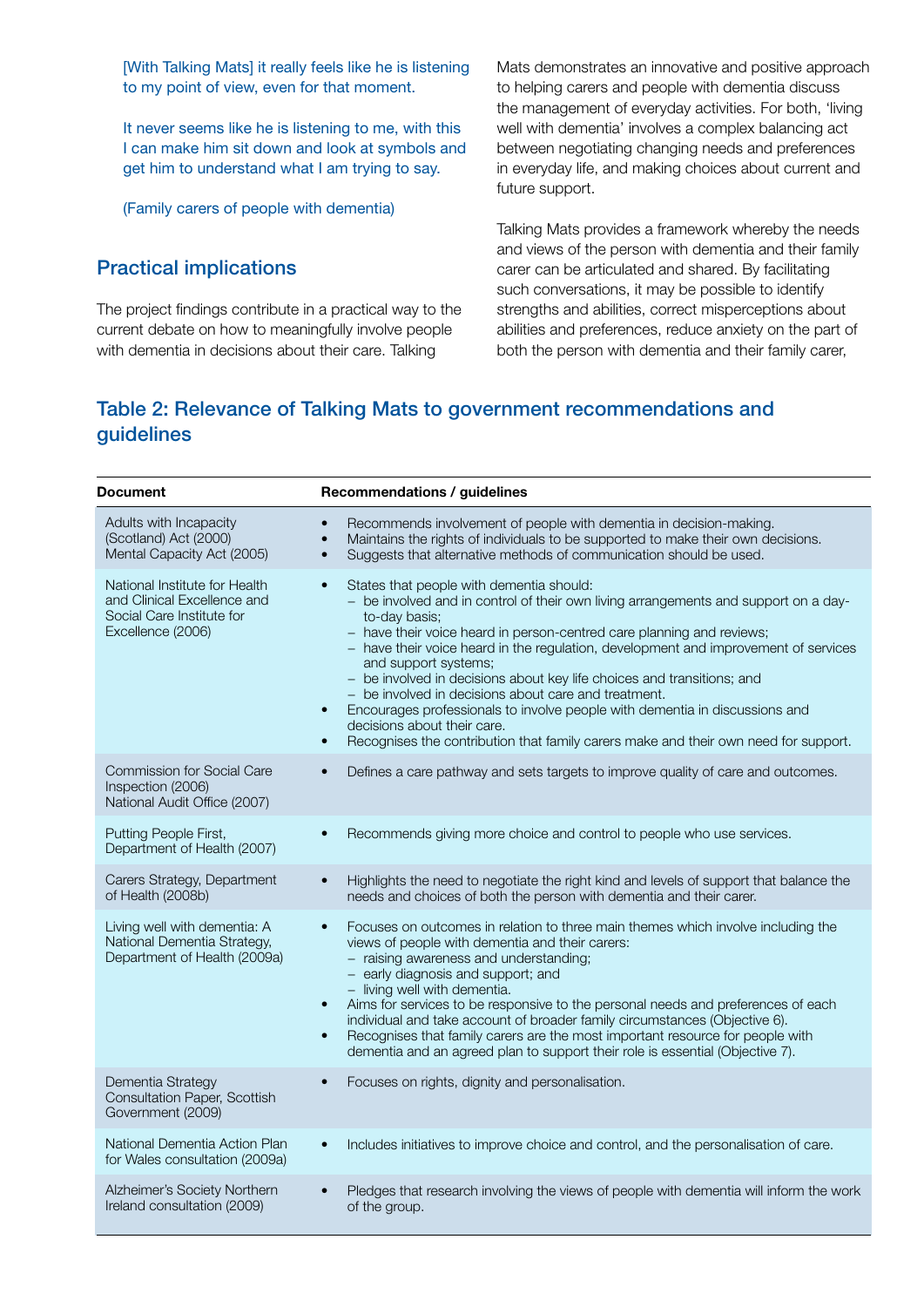[With Talking Mats] it really feels like he is listening to my point of view, even for that moment.

It never seems like he is listening to me, with this I can make him sit down and look at symbols and get him to understand what I am trying to say.

(Family carers of people with dementia)

## Practical implications

The project findings contribute in a practical way to the current debate on how to meaningfully involve people with dementia in decisions about their care. Talking

Mats demonstrates an innovative and positive approach to helping carers and people with dementia discuss the management of everyday activities. For both, 'living well with dementia' involves a complex balancing act between negotiating changing needs and preferences in everyday life, and making choices about current and future support.

Talking Mats provides a framework whereby the needs and views of the person with dementia and their family carer can be articulated and shared. By facilitating such conversations, it may be possible to identify strengths and abilities, correct misperceptions about abilities and preferences, reduce anxiety on the part of both the person with dementia and their family carer,

## Table 2: Relevance of Talking Mats to government recommendations and guidelines

| <b>Document</b>                                                                                                | <b>Recommendations / guidelines</b>                                                                                                                                                                                                                                                                                                                                                                                                                                                                                                                                                                                                                                                                                    |
|----------------------------------------------------------------------------------------------------------------|------------------------------------------------------------------------------------------------------------------------------------------------------------------------------------------------------------------------------------------------------------------------------------------------------------------------------------------------------------------------------------------------------------------------------------------------------------------------------------------------------------------------------------------------------------------------------------------------------------------------------------------------------------------------------------------------------------------------|
| Adults with Incapacity<br>(Scotland) Act (2000)<br>Mental Capacity Act (2005)                                  | Recommends involvement of people with dementia in decision-making.<br>$\bullet$<br>Maintains the rights of individuals to be supported to make their own decisions.<br>$\bullet$<br>Suggests that alternative methods of communication should be used.<br>$\bullet$                                                                                                                                                                                                                                                                                                                                                                                                                                                    |
| National Institute for Health<br>and Clinical Excellence and<br>Social Care Institute for<br>Excellence (2006) | States that people with dementia should:<br>$\bullet$<br>- be involved and in control of their own living arrangements and support on a day-<br>to-day basis:<br>- have their voice heard in person-centred care planning and reviews;<br>- have their voice heard in the regulation, development and improvement of services<br>and support systems;<br>- be involved in decisions about key life choices and transitions; and<br>- be involved in decisions about care and treatment.<br>Encourages professionals to involve people with dementia in discussions and<br>$\bullet$<br>decisions about their care.<br>Recognises the contribution that family carers make and their own need for support.<br>$\bullet$ |
| <b>Commission for Social Care</b><br>Inspection (2006)<br>National Audit Office (2007)                         | Defines a care pathway and sets targets to improve quality of care and outcomes.<br>$\bullet$                                                                                                                                                                                                                                                                                                                                                                                                                                                                                                                                                                                                                          |
| Putting People First,<br>Department of Health (2007)                                                           | Recommends giving more choice and control to people who use services.<br>$\bullet$                                                                                                                                                                                                                                                                                                                                                                                                                                                                                                                                                                                                                                     |
| Carers Strategy, Department<br>of Health (2008b)                                                               | Highlights the need to negotiate the right kind and levels of support that balance the<br>$\bullet$<br>needs and choices of both the person with dementia and their carer.                                                                                                                                                                                                                                                                                                                                                                                                                                                                                                                                             |
| Living well with dementia: A<br>National Dementia Strategy,<br>Department of Health (2009a)                    | Focuses on outcomes in relation to three main themes which involve including the<br>$\bullet$<br>views of people with dementia and their carers:<br>- raising awareness and understanding;<br>- early diagnosis and support; and<br>- living well with dementia.<br>Aims for services to be responsive to the personal needs and preferences of each<br>$\bullet$<br>individual and take account of broader family circumstances (Objective 6).<br>Recognises that family carers are the most important resource for people with<br>$\bullet$<br>dementia and an agreed plan to support their role is essential (Objective 7).                                                                                         |
| Dementia Strategy<br>Consultation Paper, Scottish<br>Government (2009)                                         | Focuses on rights, dignity and personalisation.<br>$\bullet$                                                                                                                                                                                                                                                                                                                                                                                                                                                                                                                                                                                                                                                           |
| National Dementia Action Plan<br>for Wales consultation (2009a)                                                | Includes initiatives to improve choice and control, and the personalisation of care.<br>$\bullet$                                                                                                                                                                                                                                                                                                                                                                                                                                                                                                                                                                                                                      |
| Alzheimer's Society Northern<br>Ireland consultation (2009)                                                    | Pledges that research involving the views of people with dementia will inform the work<br>$\bullet$<br>of the group.                                                                                                                                                                                                                                                                                                                                                                                                                                                                                                                                                                                                   |